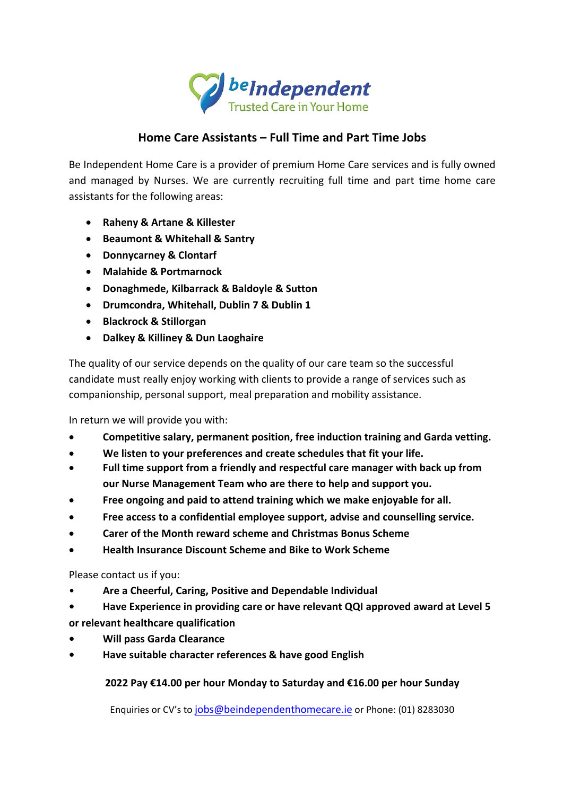

## **Home Care Assistants – Full Time and Part Time Jobs**

Be Independent Home Care is a provider of premium Home Care services and is fully owned and managed by Nurses. We are currently recruiting full time and part time home care assistants for the following areas:

- **Raheny & Artane & Killester**
- **Beaumont & Whitehall & Santry**
- **Donnycarney & Clontarf**
- **Malahide & Portmarnock**
- **Donaghmede, Kilbarrack & Baldoyle & Sutton**
- **Drumcondra, Whitehall, Dublin 7 & Dublin 1**
- **Blackrock & Stillorgan**
- **Dalkey & Killiney & Dun Laoghaire**

The quality of our service depends on the quality of our care team so the successful candidate must really enjoy working with clients to provide a range of services such as companionship, personal support, meal preparation and mobility assistance.

In return we will provide you with:

- **Competitive salary, permanent position, free induction training and Garda vetting.**
- **We listen to your preferences and create schedules that fit your life.**
- **Full time support from a friendly and respectful care manager with back up from our Nurse Management Team who are there to help and support you.**
- **Free ongoing and paid to attend training which we make enjoyable for all.**
- **Free access to a confidential employee support, advise and counselling service.**
- **Carer of the Month reward scheme and Christmas Bonus Scheme**
- **Health Insurance Discount Scheme and Bike to Work Scheme**

Please contact us if you:

- **Are a Cheerful, Caring, Positive and Dependable Individual**
- **• Have Experience in providing care or have relevant QQI approved award at Level 5 or relevant healthcare qualification**
- **• Will pass Garda Clearance**
- **• Have suitable character references & have good English**

**2022 Pay €14.00 per hour Monday to Saturday and €16.00 per hour Sunday**

Enquiries or CV's to jobs@beindependenthomecare.ie or Phone: (01) 8283030